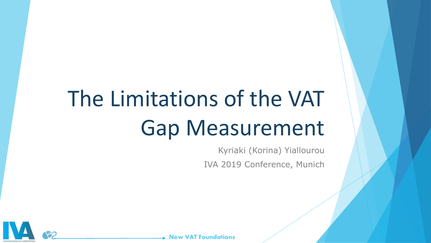# The Limitations of the VAT Gap Measurement

Kyriaki (Korina) Yiallourou IVA 2019 Conference, Munich



**New VAT Foundations**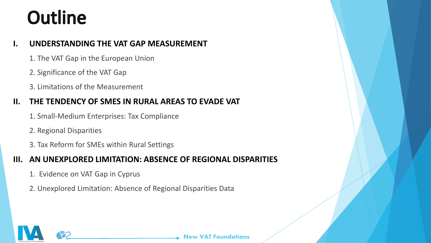#### **Outline**

#### **I. UNDERSTANDING THE VAT GAP MEASUREMENT**

- 1. The VAT Gap in the European Union
- 2. Significance of the VAT Gap
- 3. Limitations of the Measurement

#### **II. THE TENDENCY OF SMES IN RURAL AREAS TO EVADE VAT**

- 1. Small-Medium Enterprises: Tax Compliance
- 2. Regional Disparities
- 3. Tax Reform for SMEs within Rural Settings

#### **III. AN UNEXPLORED LIMITATION: ABSENCE OF REGIONAL DISPARITIES**

- 1. Evidence on VAT Gap in Cyprus
- 2. Unexplored Limitation: Absence of Regional Disparities Data

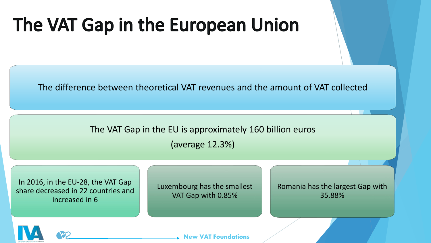### The VAT Gap in the European Union

The difference between theoretical VAT revenues and the amount of VAT collected

The VAT Gap in the EU is approximately 160 billion euros (average 12.3%)

In 2016, in the EU-28, the VAT Gap share decreased in 22 countries and increased in 6

Luxembourg has the smallest VAT Gap with 0.85%

Romania has the largest Gap with 35.88%

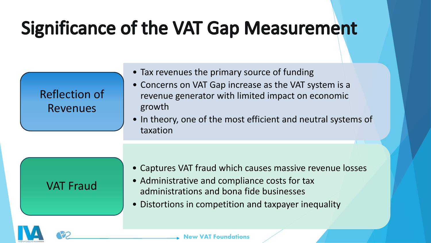### **Significance of the VAT Gap Measurement**

| <b>Reflection of</b> |  |
|----------------------|--|
| <b>Revenues</b>      |  |

- Tax revenues the primary source of funding
- Concerns on VAT Gap increase as the VAT system is a revenue generator with limited impact on economic growth
- In theory, one of the most efficient and neutral systems of taxation

#### VAT Fraud

- Captures VAT fraud which causes massive revenue losses
- Administrative and compliance costs for tax administrations and bona fide businesses
- Distortions in competition and taxpayer inequality

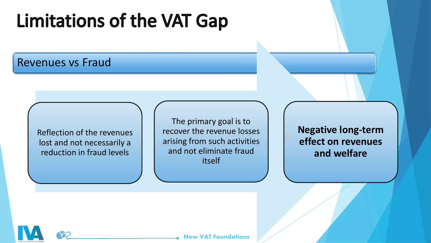### **Limitations of the VAT Gap**

#### Revenues vs Fraud

Reflection of the revenues lost and not necessarily a reduction in fraud levels

The primary goal is to recover the revenue losses arising from such activities and not eliminate fraud itself

**Negative long-term effect on revenues and welfare**

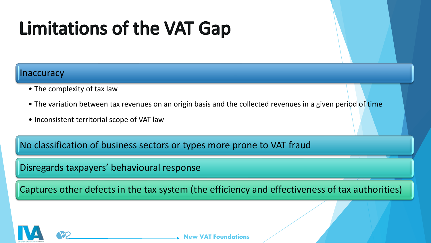## **Limitations of the VAT Gap**

#### naccuracy

- The complexity of tax law
- The variation between tax revenues on an origin basis and the collected revenues in a given period of time
- Inconsistent territorial scope of VAT law

No classification of business sectors or types more prone to VAT fraud

Disregards taxpayers' behavioural response

Captures other defects in the tax system (the efficiency and effectiveness of tax authorities)

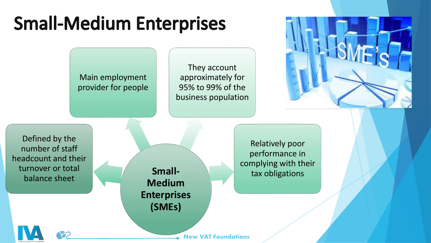### **Small-Medium Enterprises**

Main employment provider for people

They account approximately for 95% to 99% of the business population



Defined by the number of staff headcount and their turnover or total balance sheet

**Small-Medium Enterprises (SMEs)**

Relatively poor performance in complying with their tax obligations

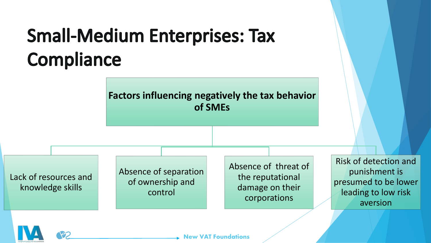## **Small-Medium Enterprises: Tax** Compliance

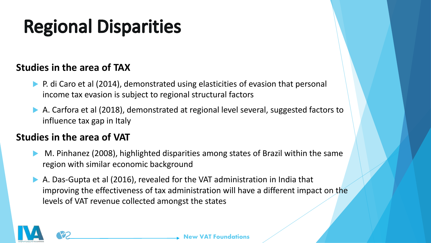## **Regional Disparities**

#### **Studies in the area of TAX**

- P. di Caro et al (2014), demonstrated using elasticities of evasion that personal income tax evasion is subject to regional structural factors
- A. Carfora et al (2018), demonstrated at regional level several, suggested factors to influence tax gap in Italy

#### **Studies in the area of VAT**

- M. Pinhanez (2008), highlighted disparities among states of Brazil within the same region with similar economic background
- A. Das-Gupta et al (2016), revealed for the VAT administration in India that improving the effectiveness of tax administration will have a different impact on the levels of VAT revenue collected amongst the states

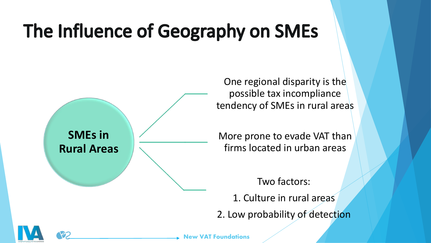## The Influence of Geography on SMEs



One regional disparity is the possible tax incompliance tendency of SMEs in rural areas

More prone to evade VAT than firms located in urban areas

Two factors: 1. Culture in rural areas 2. Low probability of detection



**New VAT Foundations**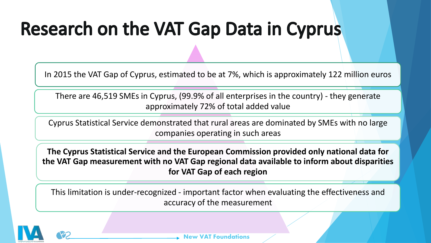### **Research on the VAT Gap Data in Cyprus**

In 2015 the VAT Gap of Cyprus, estimated to be at 7%, which is approximately 122 million euros

There are 46,519 SMEs in Cyprus, (99.9% of all enterprises in the country) - they generate approximately 72% of total added value

Cyprus Statistical Service demonstrated that rural areas are dominated by SMEs with no large companies operating in such areas

**The Cyprus Statistical Service and the European Commission provided only national data for the VAT Gap measurement with no VAT Gap regional data available to inform about disparities for VAT Gap of each region**

This limitation is under-recognized - important factor when evaluating the effectiveness and accuracy of the measurement

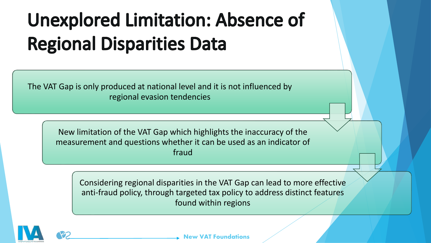## **Unexplored Limitation: Absence of Regional Disparities Data**

The VAT Gap is only produced at national level and it is not influenced by regional evasion tendencies

> New limitation of the VAT Gap which highlights the inaccuracy of the measurement and questions whether it can be used as an indicator of fraud

Considering regional disparities in the VAT Gap can lead to more effective anti-fraud policy, through targeted tax policy to address distinct features found within regions

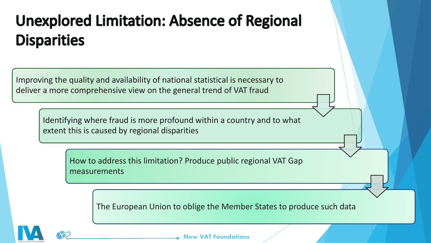#### **Unexplored Limitation: Absence of Regional Disparities**

Improving the quality and availability of national statistical is necessary to deliver a more comprehensive view on the general trend of VAT fraud

Identifying where fraud is more profound within a country and to what extent this is caused by regional disparities

> How to address this limitation? Produce public regional VAT Gap measurements

> > The European Union to oblige the Member States to produce such data